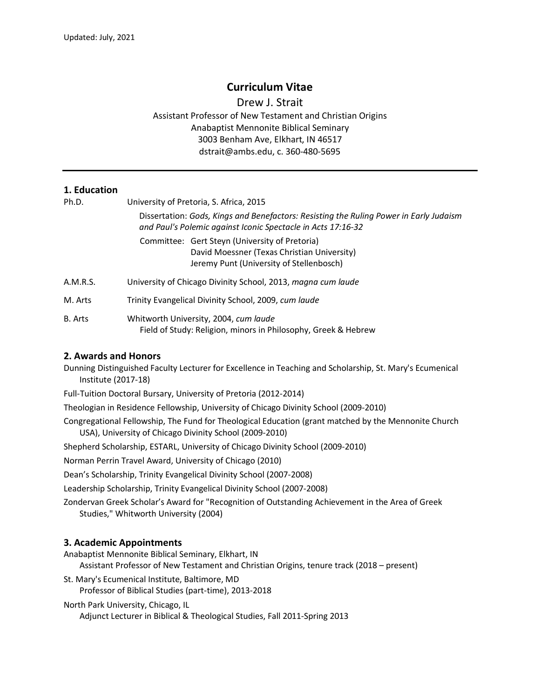# **Curriculum Vitae**

Drew J. Strait Assistant Professor of New Testament and Christian Origins Anabaptist Mennonite Biblical Seminary 3003 Benham Ave, Elkhart, IN 46517 dstrait@ambs.edu, c. 360-480-5695

### **1. Education**

| Ph.D.    | University of Pretoria, S. Africa, 2015                                                                                                                |
|----------|--------------------------------------------------------------------------------------------------------------------------------------------------------|
|          | Dissertation: Gods, Kings and Benefactors: Resisting the Ruling Power in Early Judaism<br>and Paul's Polemic against Iconic Spectacle in Acts 17:16-32 |
|          | Committee: Gert Steyn (University of Pretoria)<br>David Moessner (Texas Christian University)<br>Jeremy Punt (University of Stellenbosch)              |
| A.M.R.S. | University of Chicago Divinity School, 2013, magna cum laude                                                                                           |
| M. Arts  | Trinity Evangelical Divinity School, 2009, cum laude                                                                                                   |
| B. Arts  | Whitworth University, 2004, cum laude<br>Field of Study: Religion, minors in Philosophy, Greek & Hebrew                                                |

### **2. Awards and Honors**

Dunning Distinguished Faculty Lecturer for Excellence in Teaching and Scholarship, St. Mary's Ecumenical Institute (2017-18)

Full-Tuition Doctoral Bursary, University of Pretoria (2012-2014)

Theologian in Residence Fellowship, University of Chicago Divinity School (2009-2010)

Congregational Fellowship, The Fund for Theological Education (grant matched by the Mennonite Church USA), University of Chicago Divinity School (2009-2010)

Shepherd Scholarship, ESTARL, University of Chicago Divinity School (2009-2010)

Norman Perrin Travel Award, University of Chicago (2010)

Dean's Scholarship, Trinity Evangelical Divinity School (2007-2008)

Leadership Scholarship, Trinity Evangelical Divinity School (2007-2008)

Zondervan Greek Scholar's Award for "Recognition of Outstanding Achievement in the Area of Greek Studies," Whitworth University (2004)

### **3. Academic Appointments**

Anabaptist Mennonite Biblical Seminary, Elkhart, IN

Assistant Professor of New Testament and Christian Origins, tenure track (2018 – present)

St. Mary's Ecumenical Institute, Baltimore, MD

Professor of Biblical Studies (part-time), 2013-2018

North Park University, Chicago, IL

Adjunct Lecturer in Biblical & Theological Studies, Fall 2011-Spring 2013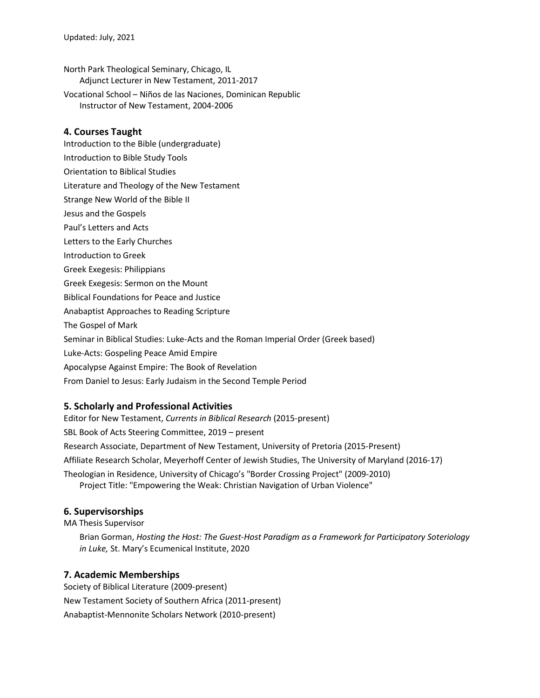- North Park Theological Seminary, Chicago, IL Adjunct Lecturer in New Testament, 2011-2017
- Vocational School Niños de las Naciones, Dominican Republic Instructor of New Testament, 2004-2006

#### **4. Courses Taught**

- Introduction to the Bible (undergraduate)
- Introduction to Bible Study Tools
- Orientation to Biblical Studies
- Literature and Theology of the New Testament
- Strange New World of the Bible II
- Jesus and the Gospels
- Paul's Letters and Acts
- Letters to the Early Churches
- Introduction to Greek
- Greek Exegesis: Philippians
- Greek Exegesis: Sermon on the Mount
- Biblical Foundations for Peace and Justice
- Anabaptist Approaches to Reading Scripture
- The Gospel of Mark
- Seminar in Biblical Studies: Luke-Acts and the Roman Imperial Order (Greek based)
- Luke-Acts: Gospeling Peace Amid Empire
- Apocalypse Against Empire: The Book of Revelation
- From Daniel to Jesus: Early Judaism in the Second Temple Period

### **5. Scholarly and Professional Activities**

Editor for New Testament, *Currents in Biblical Research* (2015-present) SBL Book of Acts Steering Committee, 2019 – present Research Associate, Department of New Testament, University of Pretoria (2015-Present) Affiliate Research Scholar, Meyerhoff Center of Jewish Studies, The University of Maryland (2016-17) Theologian in Residence, University of Chicago's "Border Crossing Project" (2009-2010) Project Title: "Empowering the Weak: Christian Navigation of Urban Violence"

### **6. Supervisorships**

MA Thesis Supervisor

Brian Gorman, *Hosting the Host: The Guest-Host Paradigm as a Framework for Participatory Soteriology in Luke,* St. Mary's Ecumenical Institute, 2020

### **7. Academic Memberships**

Society of Biblical Literature (2009-present) New Testament Society of Southern Africa (2011-present) Anabaptist-Mennonite Scholars Network (2010-present)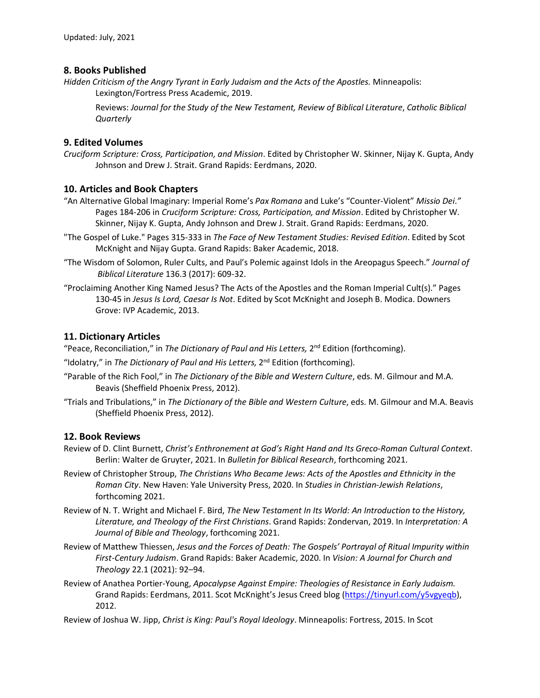# **8. Books Published**

*Hidden Criticism of the Angry Tyrant in Early Judaism and the Acts of the Apostles.* Minneapolis: Lexington/Fortress Press Academic, 2019.

Reviews: *Journal for the Study of the New Testament, Review of Biblical Literature*, *Catholic Biblical Quarterly*

# **9. Edited Volumes**

*Cruciform Scripture: Cross, Participation, and Mission*. Edited by Christopher W. Skinner, Nijay K. Gupta, Andy Johnson and Drew J. Strait. Grand Rapids: Eerdmans, 2020.

# **10. Articles and Book Chapters**

- "An Alternative Global Imaginary: Imperial Rome's *Pax Romana* and Luke's "Counter-Violent" *Missio Dei*.*"* Pages 184-206 in *Cruciform Scripture: Cross, Participation, and Mission*. Edited by Christopher W. Skinner, Nijay K. Gupta, Andy Johnson and Drew J. Strait. Grand Rapids: Eerdmans, 2020.
- "The Gospel of Luke." Pages 315-333 in *The Face of New Testament Studies: Revised Edition*. Edited by Scot McKnight and Nijay Gupta. Grand Rapids: Baker Academic, 2018.
- "The Wisdom of Solomon, Ruler Cults, and Paul's Polemic against Idols in the Areopagus Speech." *Journal of Biblical Literature* 136.3 (2017): 609-32.
- "Proclaiming Another King Named Jesus? The Acts of the Apostles and the Roman Imperial Cult(s)." Pages 130-45 in *Jesus Is Lord, Caesar Is Not*. Edited by Scot McKnight and Joseph B. Modica. Downers Grove: IVP Academic, 2013.

# **11. Dictionary Articles**

"Peace, Reconciliation," in *The Dictionary of Paul and His Letters,* 2nd Edition (forthcoming).

- "Idolatry," in *The Dictionary of Paul and His Letters,* 2nd Edition (forthcoming).
- "Parable of the Rich Fool," in *The Dictionary of the Bible and Western Culture*, eds. M. Gilmour and M.A. Beavis (Sheffield Phoenix Press, 2012).
- "Trials and Tribulations," in *The Dictionary of the Bible and Western Culture*, eds. M. Gilmour and M.A. Beavis (Sheffield Phoenix Press, 2012).

### **12. Book Reviews**

- Review of D. Clint Burnett, *Christ's Enthronement at God's Right Hand and Its Greco-Roman Cultural Context*. Berlin: Walter de Gruyter, 2021. In *Bulletin for Biblical Research*, forthcoming 2021.
- Review of Christopher Stroup, *The Christians Who Became Jews: Acts of the Apostles and Ethnicity in the Roman City*. New Haven: Yale University Press, 2020. In *Studies in Christian-Jewish Relations*, forthcoming 2021.
- Review of N. T. Wright and Michael F. Bird, *The New Testament In Its World: An Introduction to the History, Literature, and Theology of the First Christians*. Grand Rapids: Zondervan, 2019. In *Interpretation: A Journal of Bible and Theology*, forthcoming 2021.
- Review of Matthew Thiessen, *Jesus and the Forces of Death: The Gospels' Portrayal of Ritual Impurity within First-Century Judaism*. Grand Rapids: Baker Academic, 2020. In *Vision: A Journal for Church and Theology* 22.1 (2021): 92–94.
- Review of Anathea Portier-Young, *Apocalypse Against Empire: Theologies of Resistance in Early Judaism.*  Grand Rapids: Eerdmans, 2011. Scot McKnight's Jesus Creed blog (https://tinyurl.com/y5vgyeqb), 2012.
- Review of Joshua W. Jipp, *Christ is King: Paul's Royal Ideology*. Minneapolis: Fortress, 2015. In Scot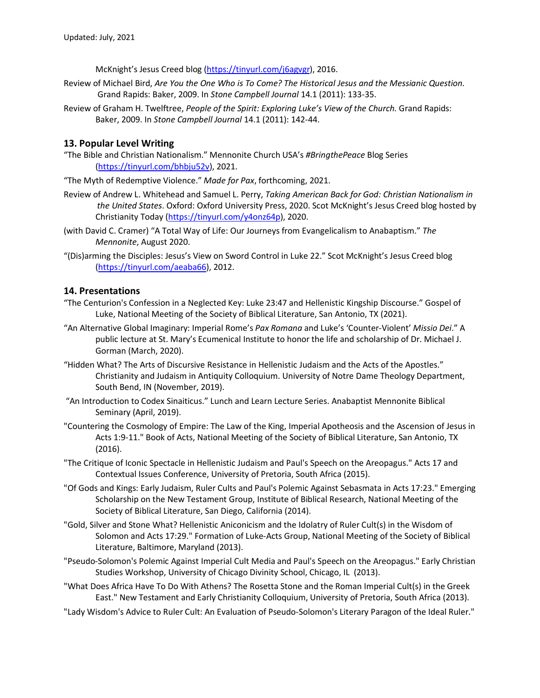McKnight's Jesus Creed blog (https://tinyurl.com/j6agvgr), 2016.

- Review of Michael Bird, *Are You the One Who is To Come? The Historical Jesus and the Messianic Question.* Grand Rapids: Baker, 2009. In *Stone Campbell Journal* 14.1 (2011): 133-35.
- Review of Graham H. Twelftree, *People of the Spirit: Exploring Luke's View of the Church.* Grand Rapids: Baker, 2009. In *Stone Campbell Journal* 14.1 (2011): 142-44.

# **13. Popular Level Writing**

"The Bible and Christian Nationalism." Mennonite Church USA's *#BringthePeace* Blog Series (https://tinyurl.com/bhbju52v), 2021.

"The Myth of Redemptive Violence." *Made for Pax*, forthcoming, 2021.

- Review of Andrew L. Whitehead and Samuel L. Perry, *Taking American Back for God: Christian Nationalism in the United States*. Oxford: Oxford University Press, 2020. Scot McKnight's Jesus Creed blog hosted by Christianity Today (https://tinyurl.com/y4onz64p), 2020.
- (with David C. Cramer) "A Total Way of Life: Our Journeys from Evangelicalism to Anabaptism." *The Mennonite*, August 2020.
- "(Dis)arming the Disciples: Jesus's View on Sword Control in Luke 22." Scot McKnight's Jesus Creed blog (https://tinyurl.com/aeaba66), 2012.

# **14. Presentations**

- "The Centurion's Confession in a Neglected Key: Luke 23:47 and Hellenistic Kingship Discourse." Gospel of Luke, National Meeting of the Society of Biblical Literature, San Antonio, TX (2021).
- "An Alternative Global Imaginary: Imperial Rome's *Pax Romana* and Luke's 'Counter-Violent' *Missio Dei*." A public lecture at St. Mary's Ecumenical Institute to honor the life and scholarship of Dr. Michael J. Gorman (March, 2020).
- "Hidden What? The Arts of Discursive Resistance in Hellenistic Judaism and the Acts of the Apostles." Christianity and Judaism in Antiquity Colloquium. University of Notre Dame Theology Department, South Bend, IN (November, 2019).
- "An Introduction to Codex Sinaiticus." Lunch and Learn Lecture Series. Anabaptist Mennonite Biblical Seminary (April, 2019).
- "Countering the Cosmology of Empire: The Law of the King, Imperial Apotheosis and the Ascension of Jesus in Acts 1:9-11." Book of Acts, National Meeting of the Society of Biblical Literature, San Antonio, TX (2016).
- "The Critique of Iconic Spectacle in Hellenistic Judaism and Paul's Speech on the Areopagus." Acts 17 and Contextual Issues Conference, University of Pretoria, South Africa (2015).
- "Of Gods and Kings: Early Judaism, Ruler Cults and Paul's Polemic Against Sebasmata in Acts 17:23." Emerging Scholarship on the New Testament Group, Institute of Biblical Research, National Meeting of the Society of Biblical Literature, San Diego, California (2014).
- "Gold, Silver and Stone What? Hellenistic Aniconicism and the Idolatry of Ruler Cult(s) in the Wisdom of Solomon and Acts 17:29." Formation of Luke-Acts Group, National Meeting of the Society of Biblical Literature, Baltimore, Maryland (2013).
- "Pseudo-Solomon's Polemic Against Imperial Cult Media and Paul's Speech on the Areopagus." Early Christian Studies Workshop, University of Chicago Divinity School, Chicago, IL (2013).
- "What Does Africa Have To Do With Athens? The Rosetta Stone and the Roman Imperial Cult(s) in the Greek East." New Testament and Early Christianity Colloquium, University of Pretoria, South Africa (2013).
- "Lady Wisdom's Advice to Ruler Cult: An Evaluation of Pseudo-Solomon's Literary Paragon of the Ideal Ruler."